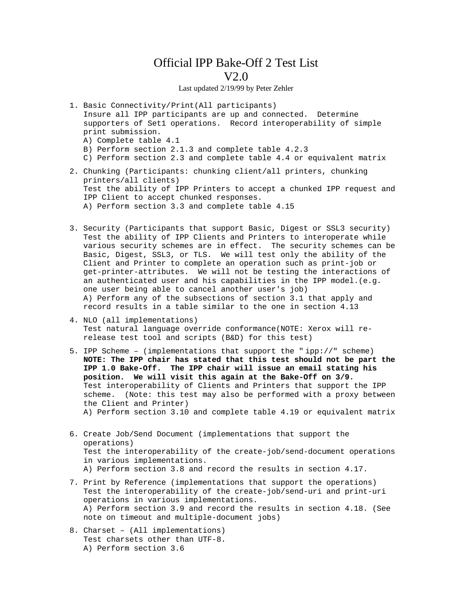## Official IPP Bake-Off 2 Test List V2.0

## Last updated 2/19/99 by Peter Zehler

- 1. Basic Connectivity/Print(All participants) Insure all IPP participants are up and connected. Determine supporters of Set1 operations. Record interoperability of simple print submission.
	- A) Complete table 4.1
	- B) Perform section 2.1.3 and complete table 4.2.3
	- C) Perform section 2.3 and complete table 4.4 or equivalent matrix
- 2. Chunking (Participants: chunking client/all printers, chunking printers/all clients) Test the ability of IPP Printers to accept a chunked IPP request and IPP Client to accept chunked responses. A) Perform section 3.3 and complete table 4.15
- 3. Security (Participants that support Basic, Digest or SSL3 security) Test the ability of IPP Clients and Printers to interoperate while various security schemes are in effect. The security schemes can be Basic, Digest, SSL3, or TLS. We will test only the ability of the Client and Printer to complete an operation such as print-job or get-printer-attributes. We will not be testing the interactions of an authenticated user and his capabilities in the IPP model.(e.g. one user being able to cancel another user's job) A) Perform any of the subsections of section 3.1 that apply and record results in a table similar to the one in section 4.13
- 4. NLO (all implementations) Test natural language override conformance(NOTE: Xerox will rerelease test tool and scripts (B&D) for this test)
- 5. IPP Scheme (implementations that support the " ipp://" scheme) **NOTE: The IPP chair has stated that this test should not be part the IPP 1.0 Bake-Off. The IPP chair will issue an email stating his position. We will visit this again at the Bake-Off on 3/9.** Test interoperability of Clients and Printers that support the IPP scheme. (Note: this test may also be performed with a proxy between the Client and Printer) A) Perform section 3.10 and complete table 4.19 or equivalent matrix
- 6. Create Job/Send Document (implementations that support the operations) Test the interoperability of the create-job/send-document operations in various implementations. A) Perform section 3.8 and record the results in section 4.17.
- 7. Print by Reference (implementations that support the operations) Test the interoperability of the create-job/send-uri and print-uri operations in various implementations. A) Perform section 3.9 and record the results in section 4.18. (See note on timeout and multiple-document jobs)
- 8. Charset (All implementations) Test charsets other than UTF-8. A) Perform section 3.6